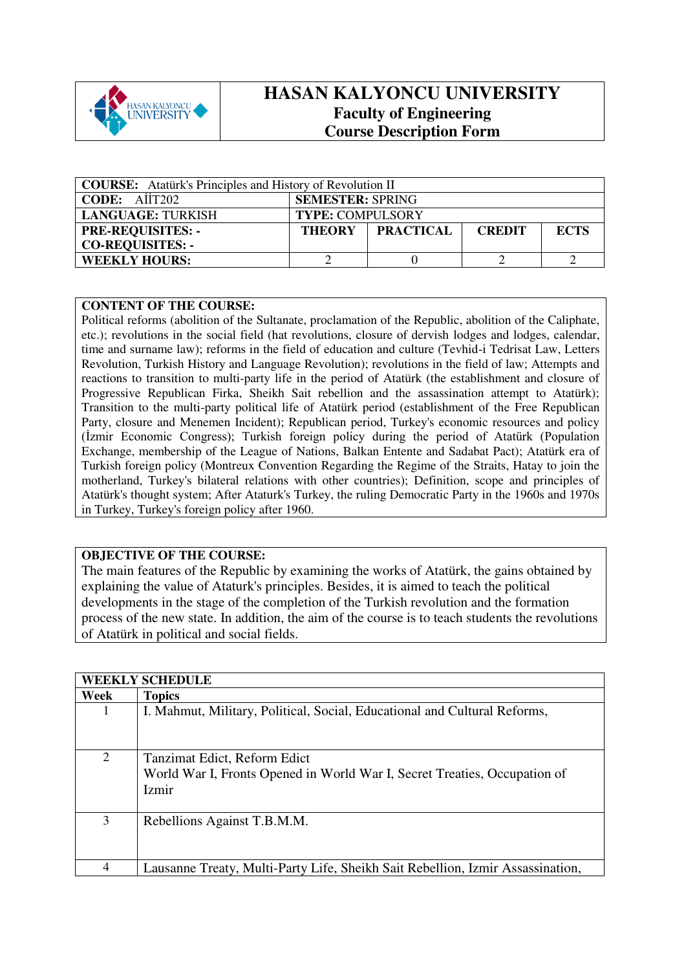

## **HASAN KALYONCU UNIVERSITY Faculty of Engineering Course Description Form**

| <b>COURSE:</b> Atatürk's Principles and History of Revolution II |                                                  |  |  |  |  |
|------------------------------------------------------------------|--------------------------------------------------|--|--|--|--|
| CODE: AIIT202                                                    | <b>SEMESTER: SPRING</b>                          |  |  |  |  |
| <b>LANGUAGE: TURKISH</b>                                         | <b>TYPE: COMPULSORY</b>                          |  |  |  |  |
| <b>PRE-REQUISITES: -</b>                                         | THEORY PRACTICAL<br><b>ECTS</b><br><b>CREDIT</b> |  |  |  |  |
| <b>CO-REQUISITES: -</b>                                          |                                                  |  |  |  |  |
| <b>WEEKLY HOURS:</b>                                             |                                                  |  |  |  |  |

## **CONTENT OF THE COURSE:**

Political reforms (abolition of the Sultanate, proclamation of the Republic, abolition of the Caliphate, etc.); revolutions in the social field (hat revolutions, closure of dervish lodges and lodges, calendar, time and surname law); reforms in the field of education and culture (Tevhid-i Tedrisat Law, Letters Revolution, Turkish History and Language Revolution); revolutions in the field of law; Attempts and reactions to transition to multi-party life in the period of Atatürk (the establishment and closure of Progressive Republican Firka, Sheikh Sait rebellion and the assassination attempt to Atatürk); Transition to the multi-party political life of Atatürk period (establishment of the Free Republican Party, closure and Menemen Incident); Republican period, Turkey's economic resources and policy (İzmir Economic Congress); Turkish foreign policy during the period of Atatürk (Population Exchange, membership of the League of Nations, Balkan Entente and Sadabat Pact); Atatürk era of Turkish foreign policy (Montreux Convention Regarding the Regime of the Straits, Hatay to join the motherland, Turkey's bilateral relations with other countries); Definition, scope and principles of Atatürk's thought system; After Ataturk's Turkey, the ruling Democratic Party in the 1960s and 1970s in Turkey, Turkey's foreign policy after 1960.

## **OBJECTIVE OF THE COURSE:**

The main features of the Republic by examining the works of Atatürk, the gains obtained by explaining the value of Ataturk's principles. Besides, it is aimed to teach the political developments in the stage of the completion of the Turkish revolution and the formation process of the new state. In addition, the aim of the course is to teach students the revolutions of Atatürk in political and social fields.

|      | <b>WEEKLY SCHEDULE</b>                                                         |
|------|--------------------------------------------------------------------------------|
| Week | <b>Topics</b>                                                                  |
|      | I. Mahmut, Military, Political, Social, Educational and Cultural Reforms,      |
|      |                                                                                |
| 2    | Tanzimat Edict, Reform Edict                                                   |
|      | World War I, Fronts Opened in World War I, Secret Treaties, Occupation of      |
|      | Izmir                                                                          |
|      |                                                                                |
|      |                                                                                |
| 3    | Rebellions Against T.B.M.M.                                                    |
|      |                                                                                |
|      |                                                                                |
| 4    | Lausanne Treaty, Multi-Party Life, Sheikh Sait Rebellion, Izmir Assassination, |
|      |                                                                                |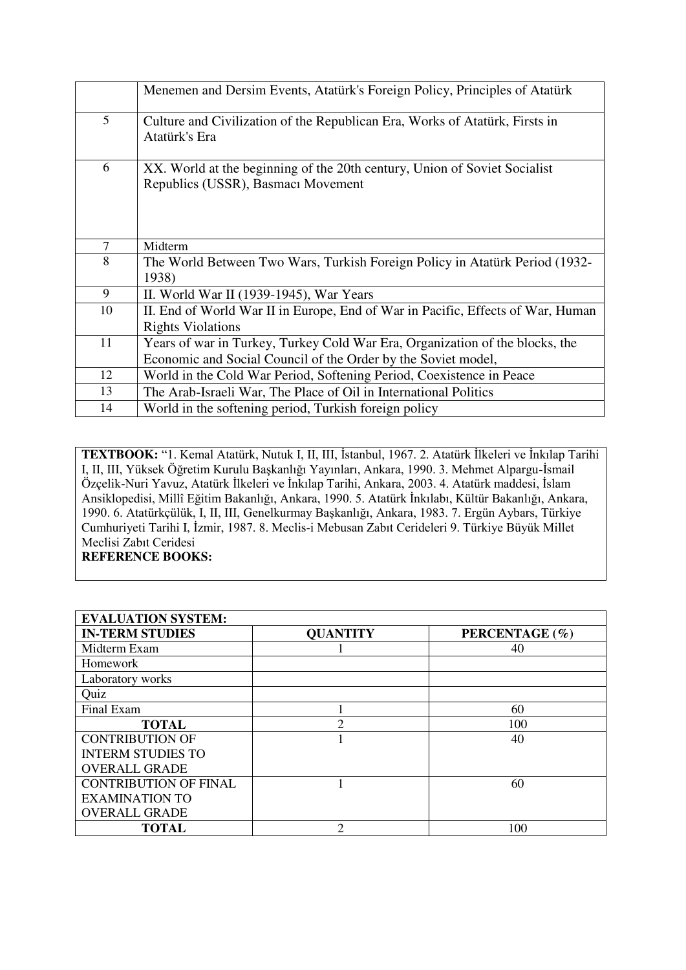|    | Menemen and Dersim Events, Atatürk's Foreign Policy, Principles of Atatürk                                                                    |
|----|-----------------------------------------------------------------------------------------------------------------------------------------------|
| 5  | Culture and Civilization of the Republican Era, Works of Atatürk, Firsts in<br>Atatürk's Era                                                  |
| 6  | XX. World at the beginning of the 20th century, Union of Soviet Socialist<br>Republics (USSR), Basmacı Movement                               |
| 7  | Midterm                                                                                                                                       |
| 8  | The World Between Two Wars, Turkish Foreign Policy in Atatürk Period (1932-<br>1938)                                                          |
| 9  | II. World War II $(1939-1945)$ , War Years                                                                                                    |
| 10 | II. End of World War II in Europe, End of War in Pacific, Effects of War, Human<br><b>Rights Violations</b>                                   |
| 11 | Years of war in Turkey, Turkey Cold War Era, Organization of the blocks, the<br>Economic and Social Council of the Order by the Soviet model, |
| 12 | World in the Cold War Period, Softening Period, Coexistence in Peace                                                                          |
| 13 | The Arab-Israeli War, The Place of Oil in International Politics                                                                              |
| 14 | World in the softening period, Turkish foreign policy                                                                                         |

**TEXTBOOK:** "1. Kemal Atatürk, Nutuk I, II, III, İstanbul, 1967. 2. Atatürk İlkeleri ve İnkılap Tarihi I, II, III, Yüksek Öğretim Kurulu Başkanlığı Yayınları, Ankara, 1990. 3. Mehmet Alpargu-İsmail Özçelik-Nuri Yavuz, Atatürk İlkeleri ve İnkılap Tarihi, Ankara, 2003. 4. Atatürk maddesi, İslam Ansiklopedisi, Millî Eğitim Bakanlığı, Ankara, 1990. 5. Atatürk İnkılabı, Kültür Bakanlığı, Ankara, 1990. 6. Atatürkçülük, I, II, III, Genelkurmay Başkanlığı, Ankara, 1983. 7. Ergün Aybars, Türkiye Cumhuriyeti Tarihi I, İzmir, 1987. 8. Meclis-i Mebusan Zabıt Cerideleri 9. Türkiye Büyük Millet Meclisi Zabıt Ceridesi **REFERENCE BOOKS:** 

| <b>EVALUATION SYSTEM:</b>    |                 |                |
|------------------------------|-----------------|----------------|
| <b>IN-TERM STUDIES</b>       | <b>QUANTITY</b> | PERCENTAGE (%) |
| Midterm Exam                 |                 | 40             |
| <b>Homework</b>              |                 |                |
| Laboratory works             |                 |                |
| Quiz                         |                 |                |
| Final Exam                   |                 | 60             |
| <b>TOTAL</b>                 | ∍               | 100            |
| <b>CONTRIBUTION OF</b>       |                 | 40             |
| <b>INTERM STUDIES TO</b>     |                 |                |
| <b>OVERALL GRADE</b>         |                 |                |
| <b>CONTRIBUTION OF FINAL</b> |                 | 60             |
| <b>EXAMINATION TO</b>        |                 |                |
| <b>OVERALL GRADE</b>         |                 |                |
| <b>TOTAL</b>                 | ↑               | 100            |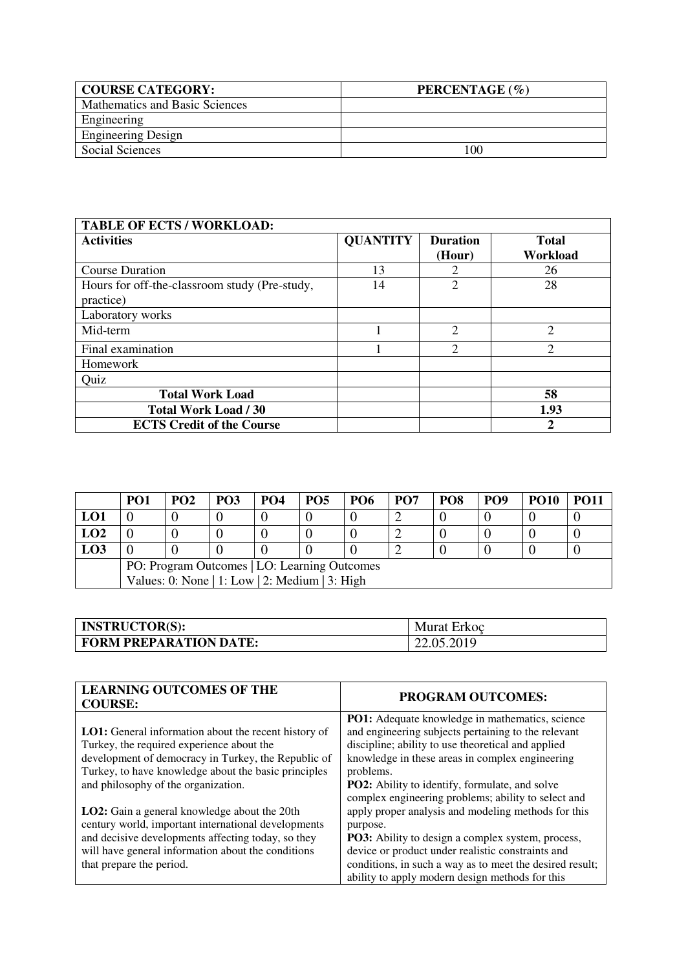| <b>COURSE CATEGORY:</b>        | PERCENTAGE (%) |
|--------------------------------|----------------|
| Mathematics and Basic Sciences |                |
| Engineering                    |                |
| <b>Engineering Design</b>      |                |
| Social Sciences                | -00            |

| <b>TABLE OF ECTS / WORKLOAD:</b>                           |                 |                             |                          |
|------------------------------------------------------------|-----------------|-----------------------------|--------------------------|
| <b>Activities</b>                                          | <b>QUANTITY</b> | <b>Duration</b><br>(Hour)   | <b>Total</b><br>Workload |
| <b>Course Duration</b>                                     | 13              | 2                           | 26                       |
| Hours for off-the-classroom study (Pre-study,<br>practice) | 14              | 2                           | 28                       |
| Laboratory works                                           |                 |                             |                          |
| Mid-term                                                   |                 | $\overline{2}$              | 2                        |
| Final examination                                          |                 | $\mathcal{D}_{\mathcal{L}}$ | $\overline{2}$           |
| Homework                                                   |                 |                             |                          |
| Quiz                                                       |                 |                             |                          |
| <b>Total Work Load</b>                                     |                 |                             | 58                       |
| <b>Total Work Load / 30</b>                                |                 |                             | 1.93                     |
| <b>ECTS Credit of the Course</b>                           |                 |                             | $\mathbf{2}$             |

|                                              | PO <sub>1</sub>                                | PO <sub>2</sub> | <b>PO3</b> | PO <sub>4</sub> | <b>PO5</b> | <b>PO6</b> | <b>PO7</b> | PO <sub>8</sub> | PO <sub>9</sub> | <b>PO10</b> | <b>PO11</b> |
|----------------------------------------------|------------------------------------------------|-----------------|------------|-----------------|------------|------------|------------|-----------------|-----------------|-------------|-------------|
| LO1                                          |                                                |                 |            |                 |            |            |            |                 |                 |             |             |
| LO2                                          |                                                |                 |            |                 |            |            |            |                 |                 |             |             |
| <b>LO3</b>                                   |                                                |                 |            |                 |            |            |            |                 |                 |             |             |
| PO: Program Outcomes   LO: Learning Outcomes |                                                |                 |            |                 |            |            |            |                 |                 |             |             |
|                                              | Values: 0: None   1: Low   2: Medium   3: High |                 |            |                 |            |            |            |                 |                 |             |             |

| <b>INSTRUCTOR(S):</b>         | Murat Erkoc |
|-------------------------------|-------------|
| <b>FORM PREPARATION DATE:</b> | 22.05.2019  |

| <b>LEARNING OUTCOMES OF THE</b><br><b>COURSE:</b>           | <b>PROGRAM OUTCOMES:</b>                                 |
|-------------------------------------------------------------|----------------------------------------------------------|
|                                                             | PO1: Adequate knowledge in mathematics, science          |
| <b>LO1:</b> General information about the recent history of | and engineering subjects pertaining to the relevant      |
| Turkey, the required experience about the                   | discipline; ability to use theoretical and applied       |
| development of democracy in Turkey, the Republic of         | knowledge in these areas in complex engineering          |
| Turkey, to have knowledge about the basic principles        | problems.                                                |
| and philosophy of the organization.                         | <b>PO2:</b> Ability to identify, formulate, and solve    |
|                                                             | complex engineering problems; ability to select and      |
| <b>LO2</b> : Gain a general knowledge about the 20th        | apply proper analysis and modeling methods for this      |
| century world, important international developments         | purpose.                                                 |
| and decisive developments affecting today, so they          | PO3: Ability to design a complex system, process,        |
| will have general information about the conditions          | device or product under realistic constraints and        |
| that prepare the period.                                    | conditions, in such a way as to meet the desired result; |
|                                                             | ability to apply modern design methods for this          |